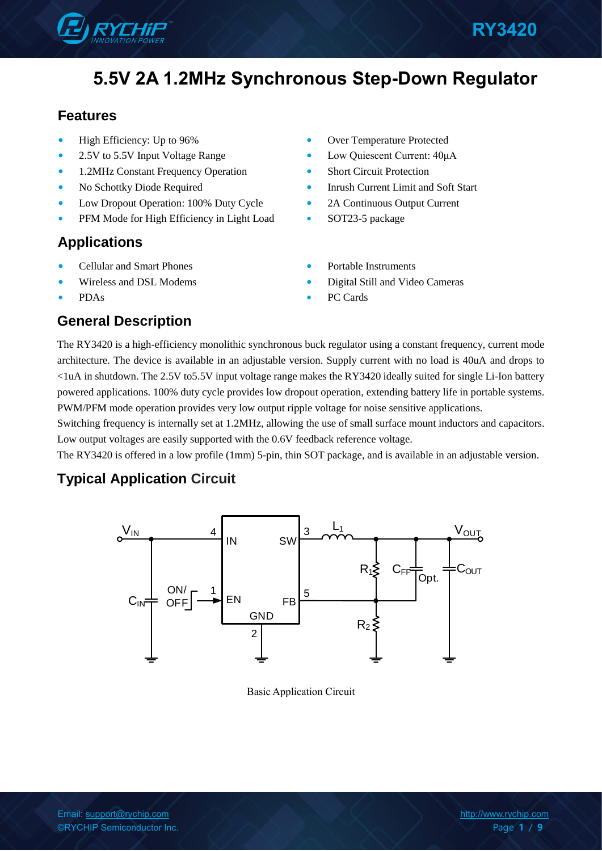

## **Features**

- High Efficiency: Up to 96%
- 2.5V to 5.5V Input Voltage Range
- 1.2MHz Constant Frequency Operation
- No Schottky Diode Required
- Low Dropout Operation: 100% Duty Cycle
- PFM Mode for High Efficiency in Light Load

## **Applications**

- Cellular and Smart Phones
- Wireless and DSL Modems
- PDAs
- Over Temperature Protected
- Low Quiescent Current: 40μA
- **Short Circuit Protection**
- Inrush Current Limit and Soft Start
- 2A Continuous Output Current
- SOT23-5 package
- Portable Instruments
- Digital Still and Video Cameras
- PC Cards

## **General Description**

The RY3420 is a high-efficiency monolithic synchronous buck regulator using a constant frequency, current mode architecture. The device is available in an adjustable version. Supply current with no load is 40uA and drops to <1uA in shutdown. The 2.5V to5.5V input voltage range makes the RY3420 ideally suited for single Li-Ion battery powered applications. 100% duty cycle provides low dropout operation, extending battery life in portable systems. PWM/PFM mode operation provides very low output ripple voltage for noise sensitive applications.

Switching frequency is internally set at 1.2MHz, allowing the use of small surface mount inductors and capacitors. Low output voltages are easily supported with the 0.6V feedback reference voltage.

The RY3420 is offered in a low profile (1mm) 5-pin, thin SOT package, and is available in an adjustable version.

## **Typical Application Circuit**



Basic Application Circuit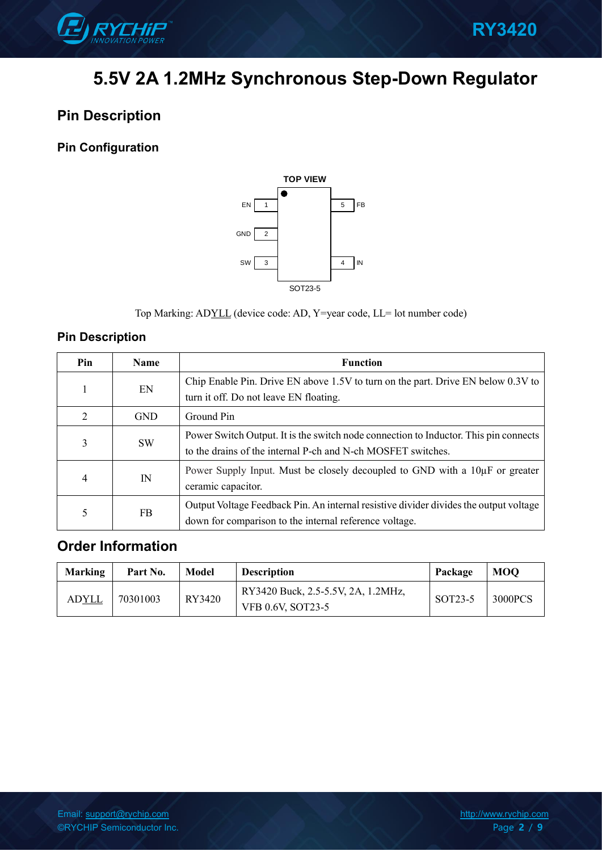

## **Pin Description**

## **Pin Configuration**



Top Marking: ADYLL (device code: AD, Y=year code, LL= lot number code)

## **Pin Description**

| Pin     | <b>Name</b> | <b>Function</b>                                                                       |  |  |  |
|---------|-------------|---------------------------------------------------------------------------------------|--|--|--|
|         | EN          | Chip Enable Pin. Drive EN above 1.5V to turn on the part. Drive EN below 0.3V to      |  |  |  |
|         |             | turn it off. Do not leave EN floating.                                                |  |  |  |
| 2       | <b>GND</b>  | Ground Pin                                                                            |  |  |  |
| 3       | SW.         | Power Switch Output. It is the switch node connection to Inductor. This pin connects  |  |  |  |
|         |             | to the drains of the internal P-ch and N-ch MOSFET switches.                          |  |  |  |
| IN<br>4 |             | Power Supply Input. Must be closely decoupled to GND with a 10µF or greater           |  |  |  |
|         |             | ceramic capacitor.                                                                    |  |  |  |
| 5       | FB.         | Output Voltage Feedback Pin. An internal resistive divider divides the output voltage |  |  |  |
|         |             | down for comparison to the internal reference voltage.                                |  |  |  |

## **Order Information**

| <b>Marking</b> | Part No. | Model  | <b>Description</b>                                      | Package | <b>MOO</b> |
|----------------|----------|--------|---------------------------------------------------------|---------|------------|
| AD <u>YLL</u>  | 70301003 | RY3420 | RY3420 Buck, 2.5-5.5V, 2A, 1.2MHz,<br>VFB 0.6V, SOT23-5 | SOT23-5 | 3000PCS    |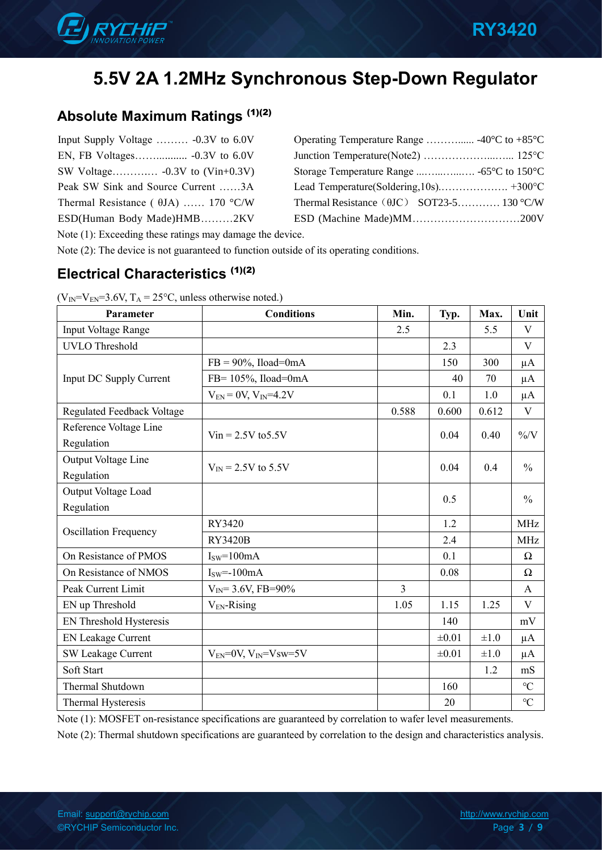

## **Absolute Maximum Ratings** (1)(2)

| Input Supply Voltage  -0.3V to 6.0V         | Operating Temperature Range  -40 $\rm{°C}$ to +85 $\rm{°C}$ |
|---------------------------------------------|-------------------------------------------------------------|
|                                             |                                                             |
|                                             |                                                             |
| Peak SW Sink and Source Current 3A          |                                                             |
| Thermal Resistance ( $\theta$ JA)  170 °C/W | Thermal Resistance $(\theta$ JC $)$ SOT23-5 130 °C/W        |
| ESD(Human Body Made)HMB2KV                  |                                                             |
|                                             |                                                             |

Note (1): Exceeding these ratings may damage the device.

Note (2): The device is not guaranteed to function outside of its operating conditions.

## **Electrical Characteristics (1)(2)**

| Parameter                            | <b>Conditions</b>              | Min.           | Typ.       | Max.      | Unit            |
|--------------------------------------|--------------------------------|----------------|------------|-----------|-----------------|
| Input Voltage Range                  |                                | 2.5            |            | 5.5       | V               |
| <b>UVLO</b> Threshold                |                                |                | 2.3        |           | V               |
|                                      | $FB = 90\%$ , Iload=0mA        |                | 150        | 300       | $\mu A$         |
| Input DC Supply Current              | FB= $105\%$ , Iload=0mA        |                | 40         | 70        | $\mu A$         |
|                                      | $V_{EN} = 0V, V_{IN} = 4.2V$   |                | 0.1        | 1.0       | $\mu A$         |
| Regulated Feedback Voltage           |                                | 0.588          | 0.600      | 0.612     | $\mathbf V$     |
| Reference Voltage Line<br>Regulation | $V$ in = 2.5V to 5.5V          |                | 0.04       | 0.40      | $\% / V$        |
| Output Voltage Line                  |                                |                |            |           |                 |
| Regulation                           | $V_{IN}$ = 2.5V to 5.5V        |                | 0.04       | 0.4       | $\frac{0}{0}$   |
| Output Voltage Load                  |                                |                | 0.5        |           | $\frac{0}{0}$   |
| Regulation                           |                                |                |            |           |                 |
| <b>Oscillation Frequency</b>         | RY3420                         |                | 1.2        |           | <b>MHz</b>      |
|                                      | <b>RY3420B</b>                 |                | 2.4        |           | <b>MHz</b>      |
| On Resistance of PMOS                | $Isw=100mA$                    |                | 0.1        |           | Ω               |
| On Resistance of NMOS                | $Isw=-100mA$                   |                | 0.08       |           | $\Omega$        |
| Peak Current Limit                   | $V_{IN} = 3.6V$ , FB=90%       | $\overline{3}$ |            |           | $\mathbf{A}$    |
| EN up Threshold                      | $V_{EN}$ -Rising               | 1.05           | 1.15       | 1.25      | V               |
| EN Threshold Hysteresis              |                                |                | 140        |           | mV              |
| <b>EN Leakage Current</b>            |                                |                | $\pm 0.01$ | $\pm 1.0$ | $\mu A$         |
| SW Leakage Current                   | $V_{EN}$ =0V, $V_{IN}$ =Vsw=5V |                | $\pm 0.01$ | $\pm 1.0$ | $\mu A$         |
| Soft Start                           |                                |                |            | 1.2       | mS              |
| Thermal Shutdown                     |                                |                | 160        |           | $\rm ^{\circ}C$ |
| Thermal Hysteresis                   |                                |                | 20         |           | $\rm ^{\circ}C$ |

 $(V_{IN} = V_{EN} = 3.6V, T_A = 25^{\circ}C$ , unless otherwise noted.)

Note (1): MOSFET on-resistance specifications are guaranteed by correlation to wafer level measurements.

Note (2): Thermal shutdown specifications are guaranteed by correlation to the design and characteristics analysis.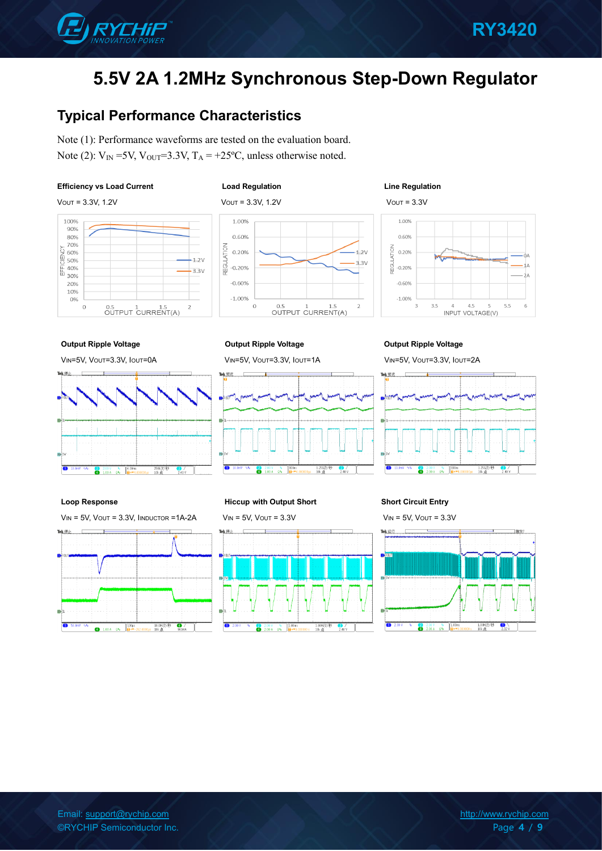

## **Typical Performance Characteristics**

Note (1): Performance waveforms are tested on the evaluation board. Note (2):  $V_{IN}$  =5V,  $V_{OUT}$ =3.3V,  $T_A$  = +25°C, unless otherwise noted.

### **Efficiency vs Load Current Load Regulation Line Regulation**



### 1.00% 0.60% **ATION** 0.20%  $2V$  $33V$ **REGUL**  $-0.20%$  $-0.60%$  $-1.00%$  $\overline{O}$ 0.5 1 1.5<br>OUTPUT CURRENT(A)  $\overline{2}$



### **Output Ripple Voltage Output Ripple Voltage Output Ripple Voltage**

Tek (#)

VIN=5V, VOUT=3.3V, IOUT=0A VIN=5V, VOUT=3.3V, IOUT=1A VIN=5V, VOUT=3.3V, IOUT=2A



 $\overline{\bullet}$ 



### **Loop Response Hiccup with Output Short Short Circuit Entry**

VIN = 5V, VOUT = 3.3V, IINDUCTOR =1A-2A VIN = 5V, VOUT = 3.3V VIN = 5V, VOUT = 3.3VTek (#)



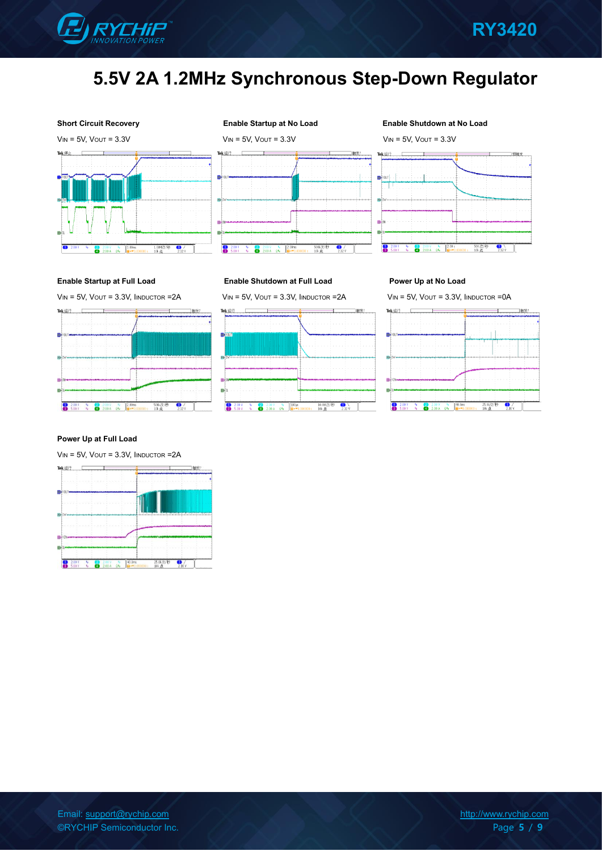





### **Short Circuit Recovery Enable Startup at No Load Enable Shutdown at No Load**



### **Enable Startup at Full Load Enable Shutdown at Full Load Power Up at No Load**



### **Power Up at Full Load**

 $V_{IN} = 5V$ ,  $V_{OUT} = 3.3V$ ,  $I_{INDUCTOR} = 2A$ 





VIN = 5V, VOUT = 3.3V, IINDUCTOR =2A VIN = 5V, VOUT = 3.3V, IINDUCTOR =2A VIN = 5V, VOUT = 3.3V, IINDUCTOR =0A

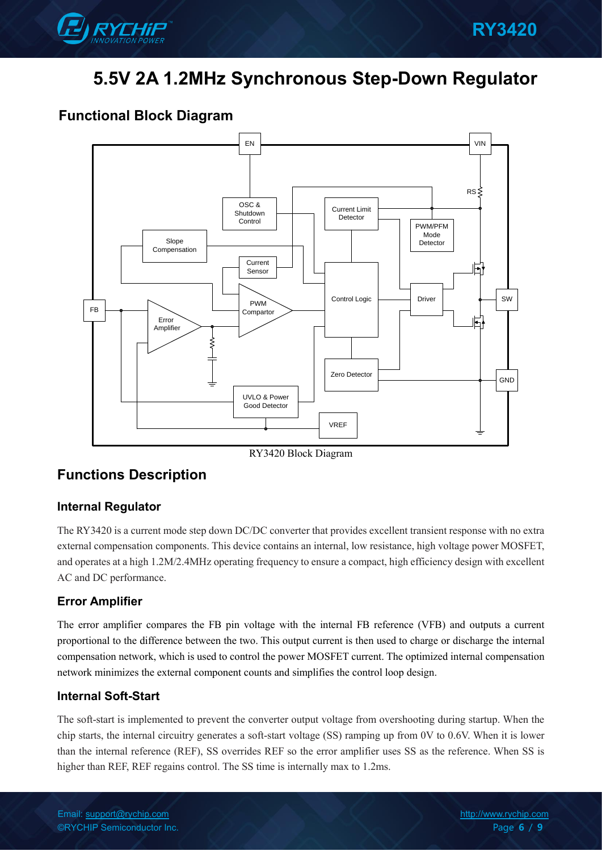

## **Functional Block Diagram**



RY3420 Block Diagram

## **Functions Description**

### **Internal Regulator**

The RY3420 is a current mode step down DC/DC converter that provides excellent transient response with no extra external compensation components. This device contains an internal, low resistance, high voltage power MOSFET, and operates at a high 1.2M/2.4MHz operating frequency to ensure a compact, high efficiency design with excellent AC and DC performance.

### **Error Amplifier**

The error amplifier compares the FB pin voltage with the internal FB reference (VFB) and outputs a current proportional to the difference between the two. This output current is then used to charge or discharge the internal compensation network, which is used to control the power MOSFET current. The optimized internal compensation network minimizes the external component counts and simplifies the control loop design.

### **Internal Soft-Start**

The soft-start is implemented to prevent the converter output voltage from overshooting during startup. When the chip starts, the internal circuitry generates a soft-start voltage (SS) ramping up from 0V to 0.6V. When it is lower than the internal reference (REF), SS overrides REF so the error amplifier uses SS as the reference. When SS is higher than REF, REF regains control. The SS time is internally max to 1.2ms.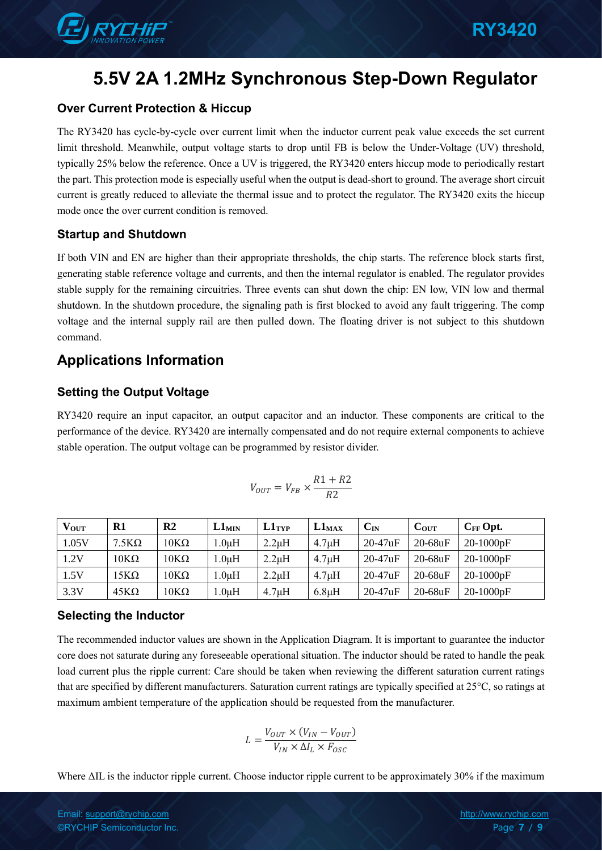

### **Over Current Protection & Hiccup**

The RY3420 has cycle-by-cycle over current limit when the inductor current peak value exceeds the set current limit threshold. Meanwhile, output voltage starts to drop until FB is below the Under-Voltage (UV) threshold, typically 25% below the reference. Once a UV is triggered, the RY3420 enters hiccup mode to periodically restart the part. This protection mode is especially useful when the output is dead-short to ground. The average short circuit current is greatly reduced to alleviate the thermal issue and to protect the regulator. The RY3420 exits the hiccup mode once the over current condition is removed.

### **Startup and Shutdown**

If both VIN and EN are higher than their appropriate thresholds, the chip starts. The reference block starts first, generating stable reference voltage and currents, and then the internal regulator is enabled. The regulator provides stable supply for the remaining circuitries. Three events can shut down the chip: EN low, VIN low and thermal shutdown. In the shutdown procedure, the signaling path is first blocked to avoid any fault triggering. The comp voltage and the internal supply rail are then pulled down. The floating driver is not subject to this shutdown command.

## **Applications Information**

### **Setting the Output Voltage**

RY3420 require an input capacitor, an output capacitor and an inductor. These components are critical to the performance of the device. RY3420 are internally compensated and do not require external components to achieve stable operation. The output voltage can be programmed by resistor divider.

$$
V_{OUT}=V_{FB}\times\frac{R1+R2}{R2}
$$

| $V_{OUT}$ | R1           | $\mathbf{R}2$        | $L1_{MIN}$ | $L1$ <sub>TYP</sub> | $L1_{MAX}$  | $\mathbf{C}_\mathbf{IN}$ | $C_{OUT}$ | $C_{FF}$ Opt. |
|-----------|--------------|----------------------|------------|---------------------|-------------|--------------------------|-----------|---------------|
| 1.05V     | $7.5K\Omega$ | $10K\Omega$          | $.0 \mu H$ | $2.2\mu H$          | $4.7 \mu H$ | $20-47uF$                | $20-68uF$ | 20-1000pF     |
| 1.2V      | $10K\Omega$  | $10\mathrm{K}\Omega$ | .0 $\mu$ H | $2.2\mu H$          | $4.7 \mu H$ | $20-47uF$                | $20-68uF$ | 20-1000pF     |
| 1.5V      | 15KΩ         | $10\mathrm{K}\Omega$ | .0 $\mu$ H | $2.2\mu H$          | $4.7 \mu H$ | $20-47uF$                | $20-68uF$ | 20-1000pF     |
| 3.3V      | $45K\Omega$  | $10\mathrm{K}\Omega$ | . $0\mu H$ | 4.7 <sub>µ</sub> H  | $6.8\mu H$  | $20-47uF$                | $20-68uF$ | 20-1000pF     |

### **Selecting the Inductor**

The recommended inductor values are shown in the Application Diagram. It is important to guarantee the inductor core does not saturate during any foreseeable operational situation. The inductor should be rated to handle the peak load current plus the ripple current: Care should be taken when reviewing the different saturation current ratings that are specified by different manufacturers. Saturation current ratings are typically specified at 25°C, so ratings at maximum ambient temperature of the application should be requested from the manufacturer.

$$
L = \frac{V_{OUT} \times (V_{IN} - V_{OUT})}{V_{IN} \times \Delta I_L \times F_{OSC}}
$$

Where ΔIL is the inductor ripple current. Choose inductor ripple current to be approximately 30% if the maximum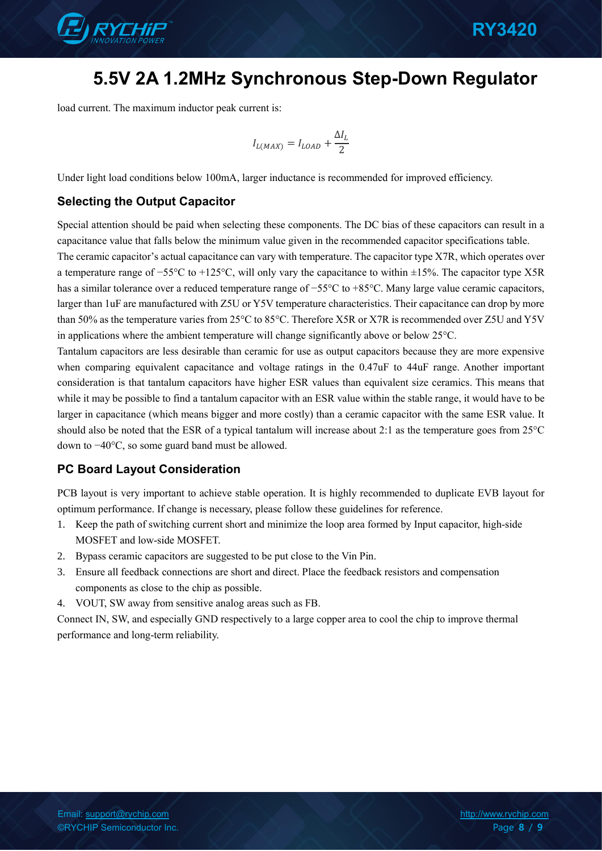

load current. The maximum inductor peak current is:

$$
I_{L(MAX)} = I_{LOAD} + \frac{\Delta I_L}{2}
$$

Under light load conditions below 100mA, larger inductance is recommended for improved efficiency.

### **Selecting the Output Capacitor**

Special attention should be paid when selecting these components. The DC bias of these capacitors can result in a capacitance value that falls below the minimum value given in the recommended capacitor specifications table.

The ceramic capacitor's actual capacitance can vary with temperature. The capacitor type X7R, which operates over a temperature range of −55°C to +125°C, will only vary the capacitance to within ±15%. The capacitor type X5R has a similar tolerance over a reduced temperature range of −55°C to +85°C. Many large value ceramic capacitors, larger than 1uF are manufactured with Z5U or Y5V temperature characteristics. Their capacitance can drop by more than 50% as the temperature varies from 25°C to 85°C. Therefore X5R or X7R is recommended over Z5U and Y5V in applications where the ambient temperature will change significantly above or below 25°C.

Tantalum capacitors are less desirable than ceramic for use as output capacitors because they are more expensive when comparing equivalent capacitance and voltage ratings in the 0.47uF to 44uF range. Another important consideration is that tantalum capacitors have higher ESR values than equivalent size ceramics. This means that while it may be possible to find a tantalum capacitor with an ESR value within the stable range, it would have to be larger in capacitance (which means bigger and more costly) than a ceramic capacitor with the same ESR value. It should also be noted that the ESR of a typical tantalum will increase about 2:1 as the temperature goes from 25°C down to −40°C, so some guard band must be allowed.

### **PC Board Layout Consideration**

PCB layout is very important to achieve stable operation. It is highly recommended to duplicate EVB layout for optimum performance. If change is necessary, please follow these guidelines for reference.

- 1. Keep the path of switching current short and minimize the loop area formed by Input capacitor, high-side MOSFET and low-side MOSFET.
- 2. Bypass ceramic capacitors are suggested to be put close to the Vin Pin.
- 3. Ensure all feedback connections are short and direct. Place the feedback resistors and compensation components as close to the chip as possible.
- 4. VOUT, SW away from sensitive analog areas such as FB.

Connect IN, SW, and especially GND respectively to a large copper area to cool the chip to improve thermal performance and long-term reliability.